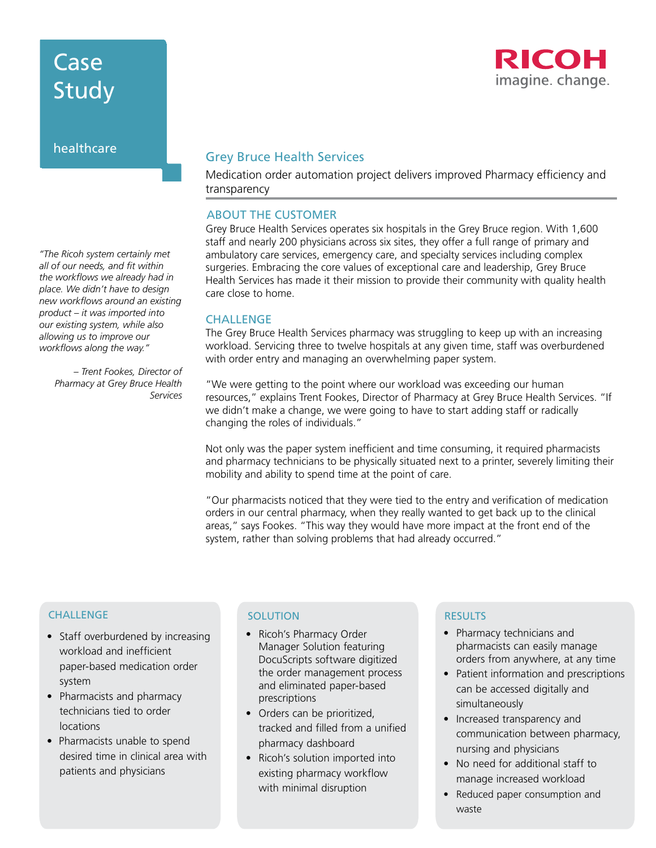# Case Study

# healthcare

# Grey Bruce Health Services

Medication order automation project delivers improved Pharmacy efficiency and transparency

# ABOUT THE CUSTOMER

Grey Bruce Health Services operates six hospitals in the Grey Bruce region. With 1,600 staff and nearly 200 physicians across six sites, they offer a full range of primary and ambulatory care services, emergency care, and specialty services including complex surgeries. Embracing the core values of exceptional care and leadership, Grey Bruce Health Services has made it their mission to provide their community with quality health care close to home.

### **CHALLENGE**

The Grey Bruce Health Services pharmacy was struggling to keep up with an increasing workload. Servicing three to twelve hospitals at any given time, staff was overburdened with order entry and managing an overwhelming paper system.

"We were getting to the point where our workload was exceeding our human resources," explains Trent Fookes, Director of Pharmacy at Grey Bruce Health Services. "If we didn't make a change, we were going to have to start adding staff or radically changing the roles of individuals."

Not only was the paper system inefficient and time consuming, it required pharmacists and pharmacy technicians to be physically situated next to a printer, severely limiting their mobility and ability to spend time at the point of care.

"Our pharmacists noticed that they were tied to the entry and verification of medication orders in our central pharmacy, when they really wanted to get back up to the clinical areas," says Fookes. "This way they would have more impact at the front end of the system, rather than solving problems that had already occurred."

## **CHALLENGE**

- Staff overburdened by increasing workload and inefficient paper-based medication order system
- Pharmacists and pharmacy technicians tied to order locations
- Pharmacists unable to spend desired time in clinical area with patients and physicians

## SOLUTION RESULTS

- Ricoh's Pharmacy Order Manager Solution featuring DocuScripts software digitized the order management process and eliminated paper-based prescriptions
- Orders can be prioritized, tracked and filled from a unified pharmacy dashboard
- Ricoh's solution imported into existing pharmacy workflow with minimal disruption

- Pharmacy technicians and pharmacists can easily manage orders from anywhere, at any time
- Patient information and prescriptions can be accessed digitally and simultaneously
- Increased transparency and communication between pharmacy, nursing and physicians
- No need for additional staff to manage increased workload
- Reduced paper consumption and waste

*"The Ricoh system certainly met all of our needs, and fit within the workflows we already had in place. We didn't have to design new workflows around an existing product – it was imported into our existing system, while also allowing us to improve our workflows along the way."* 

*– Trent Fookes, Director of Pharmacy at Grey Bruce Health Services*